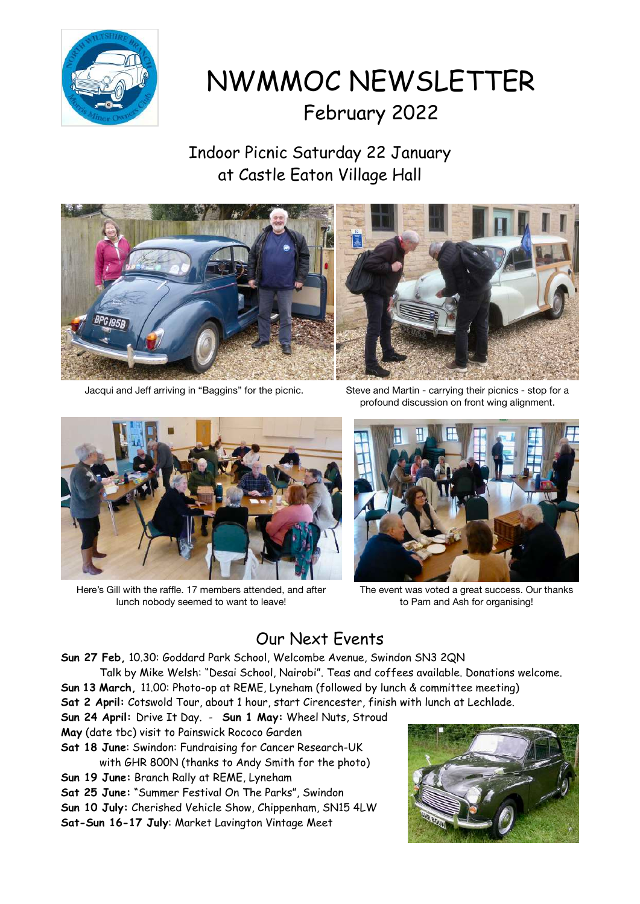

NWMMOC NEWSLETTER February 2022

Indoor Picnic Saturday 22 January at Castle Eaton Village Hall



Jacqui and Jeff arriving in "Baggins" for the picnic. Steve and Martin - carrying their picnics - stop for a



Here's Gill with the raffle. 17 members attended, and after lunch nobody seemed to want to leave!

profound discussion on front wing alignment.



The event was voted a great success. Our thanks to Pam and Ash for organising!

# Our Next Events

**Sun 27 Feb,** 10.30: Goddard Park School, Welcombe Avenue, Swindon SN3 2QN

- Talk by Mike Welsh: "Desai School, Nairobi". Teas and coffees available. Donations welcome.
- **Sun 13 March,** 11.00: Photo-op at REME, Lyneham (followed by lunch & committee meeting) **Sat 2 April:** Cotswold Tour, about 1 hour, start Cirencester, finish with lunch at Lechlade.
- **Sun 24 April:** Drive It Day. **Sun 1 May:** Wheel Nuts, Stroud
- **May** (date tbc) visit to Painswick Rococo Garden
- **Sat 18 June**: Swindon: Fundraising for Cancer Research-UK with GHR 800N (thanks to Andy Smith for the photo)
- **Sun 19 June:** Branch Rally at REME, Lyneham
- **Sat 25 June:** "Summer Festival On The Parks", Swindon
- **Sun 10 July:** Cherished Vehicle Show, Chippenham, SN15 4LW
- **Sat-Sun 16-17 July**: Market Lavington Vintage Meet

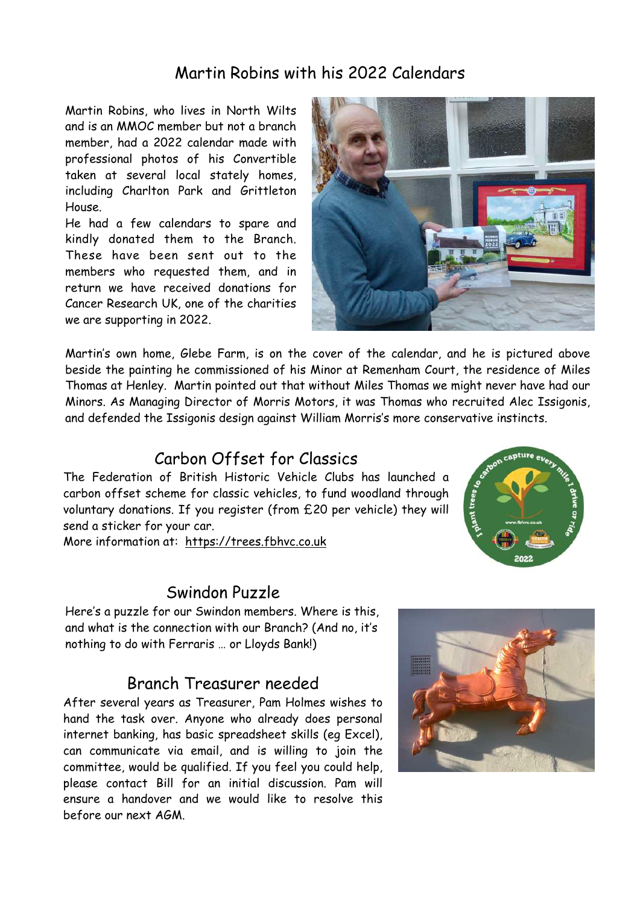## Martin Robins with his 2022 Calendars

Martin Robins, who lives in North Wilts and is an MMOC member but not a branch member, had a 2022 calendar made with professional photos of his Convertible taken at several local stately homes, including Charlton Park and Grittleton House.

He had a few calendars to spare and kindly donated them to the Branch. These have been sent out to the members who requested them, and in return we have received donations for Cancer Research UK, one of the charities we are supporting in 2022.



Martin's own home, Glebe Farm, is on the cover of the calendar, and he is pictured above beside the painting he commissioned of his Minor at Remenham Court, the residence of Miles Thomas at Henley. Martin pointed out that without Miles Thomas we might never have had our Minors. As Managing Director of Morris Motors, it was Thomas who recruited Alec Issigonis, and defended the Issigonis design against William Morris's more conservative instincts.

### Carbon Offset for Classics

The Federation of British Historic Vehicle Clubs has launched a carbon offset scheme for classic vehicles, to fund woodland through voluntary donations. If you register (from £20 per vehicle) they will send a sticker for your car.

More information at: <https://trees.fbhvc.co.uk>

#### Swindon Puzzle

Here's a puzzle for our Swindon members. Where is this, and what is the connection with our Branch? (And no, it's nothing to do with Ferraris … or Lloyds Bank!)

#### Branch Treasurer needed

After several years as Treasurer, Pam Holmes wishes to hand the task over. Anyone who already does personal internet banking, has basic spreadsheet skills (eg Excel), can communicate via email, and is willing to join the committee, would be qualified. If you feel you could help, please contact Bill for an initial discussion. Pam will ensure a handover and we would like to resolve this before our next AGM.